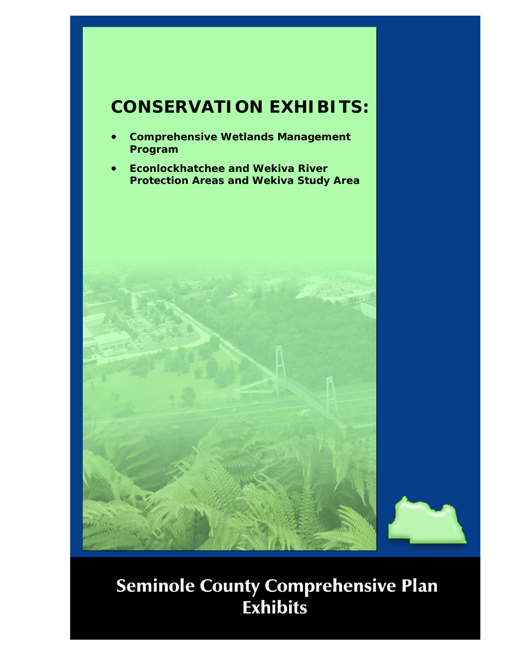## **CONSERVATION EXHIBITS:**

- **Comprehensive Wetlands Management Program**
- **Econlockhatchee and Wekiva River Protection Areas and Wekiva Study Area**

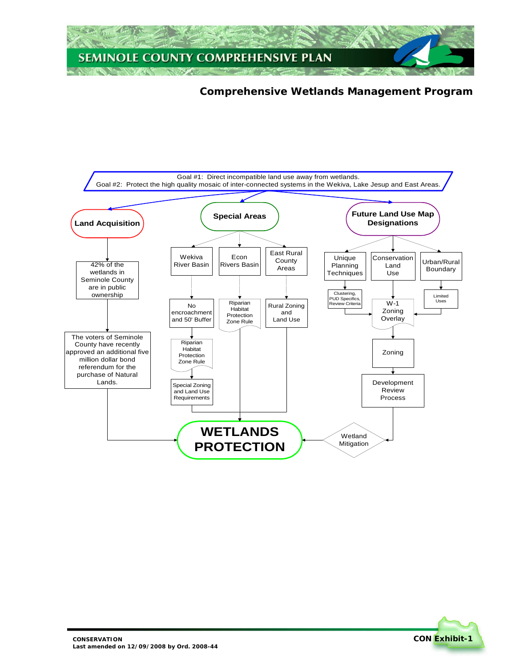

## **Comprehensive Wetlands Management Program**